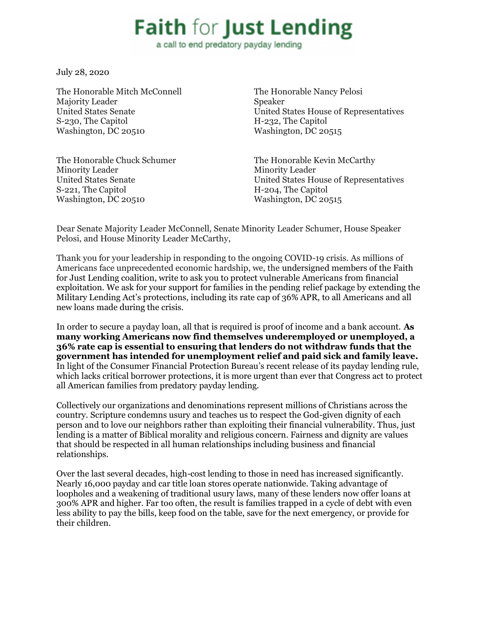## Faith for Just Lending

a call to end predatory payday lending

July 28, 2020

The Honorable Mitch McConnell Majority Leader United States Senate S-230, The Capitol Washington, DC 20510

The Honorable Chuck Schumer Minority Leader United States Senate S-221, The Capitol Washington, DC 20510

The Honorable Nancy Pelosi Speaker United States House of Representatives H-232, The Capitol Washington, DC 20515

The Honorable Kevin McCarthy Minority Leader United States House of Representatives H-204, The Capitol Washington, DC 20515

Dear Senate Majority Leader McConnell, Senate Minority Leader Schumer, House Speaker Pelosi, and House Minority Leader McCarthy,

Thank you for your leadership in responding to the ongoing COVID-19 crisis. As millions of Americans face unprecedented economic hardship, we, the undersigned members of the Faith for Just Lending coalition, write to ask you to protect vulnerable Americans from financial exploitation. We ask for your support for families in the pending relief package by extending the Military Lending Act's protections, including its rate cap of 36% APR, to all Americans and all new loans made during the crisis.

In order to secure a payday loan, all that is required is proof of income and a bank account. **As many working Americans now find themselves underemployed or unemployed, a 36% rate cap is essential to ensuring that lenders do not withdraw funds that the government has intended for unemployment relief and paid sick and family leave.** In light of the Consumer Financial Protection Bureau's recent release of its payday lending rule, which lacks critical borrower protections, it is more urgent than ever that Congress act to protect all American families from predatory payday lending.

Collectively our organizations and denominations represent millions of Christians across the country. Scripture condemns usury and teaches us to respect the God-given dignity of each person and to love our neighbors rather than exploiting their financial vulnerability. Thus, just lending is a matter of Biblical morality and religious concern. Fairness and dignity are values that should be respected in all human relationships including business and financial relationships.

Over the last several decades, high-cost lending to those in need has increased significantly. Nearly 16,000 payday and car title loan stores operate nationwide. Taking advantage of loopholes and a weakening of traditional usury laws, many of these lenders now offer loans at 300% APR and higher. Far too often, the result is families trapped in a cycle of debt with even less ability to pay the bills, keep food on the table, save for the next emergency, or provide for their children.